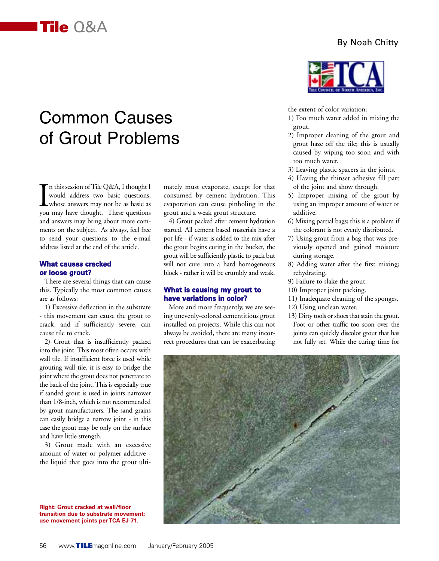## Common Causes of Grout Problems

I<sub>vou</sub> n this session of Tile Q&A, I thought I would address two basic questions, whose answers may not be as basic as you may have thought. These questions and answers may bring about more comments on the subject. As always, feel free to send your questions to the e-mail address listed at the end of the article.

## **What causes cracked or loose grout?**

There are several things that can cause this. Typically the most common causes are as follows:

1) Excessive deflection in the substrate - this movement can cause the grout to crack, and if sufficiently severe, can cause tile to crack.

2) Grout that is insufficiently packed into the joint. This most often occurs with wall tile. If insufficient force is used while grouting wall tile, it is easy to bridge the joint where the grout does not penetrate to the back of the joint. This is especially true if sanded grout is used in joints narrower than 1/8-inch, which is not recommended by grout manufacturers. The sand grains can easily bridge a narrow joint - in this case the grout may be only on the surface and have little strength.

3) Grout made with an excessive amount of water or polymer additive the liquid that goes into the grout ulti-

**Right: Grout cracked at wall/floor transition due to substrate movement; use movement joints per TCA EJ-71.**

mately must evaporate, except for that consumed by cement hydration. This evaporation can cause pinholing in the grout and a weak grout structure.

4) Grout packed after cement hydration started. All cement based materials have a pot life - if water is added to the mix after the grout begins curing in the bucket, the grout will be sufficiently plastic to pack but will not cure into a hard homogeneous block - rather it will be crumbly and weak.

## **What is causing my grout to have variations in color?**

More and more frequently, we are seeing unevenly-colored cementitious grout installed on projects. While this can not always be avoided, there are many incorrect procedures that can be exacerbating



the extent of color variation:

- 1) Too much water added in mixing the grout.
- 2) Improper cleaning of the grout and grout haze off the tile; this is usually caused by wiping too soon and with too much water.
- 3) Leaving plastic spacers in the joints.
- 4) Having the thinset adhesive fill part of the joint and show through.
- 5) Improper mixing of the grout by using an improper amount of water or additive.
- 6) Mixing partial bags; this is a problem if the colorant is not evenly distributed.
- 7) Using grout from a bag that was previously opened and gained moisture during storage.
- 8) Adding water after the first mixing; rehydrating.
- 9) Failure to slake the grout.
- 10) Improper joint packing.
- 11) Inadequate cleaning of the sponges.
- 12) Using unclean water.
- 13) Dirty tools or shoes that stain the grout. Foot or other traffic too soon over the joints can quickly discolor grout that has not fully set. While the curing time for